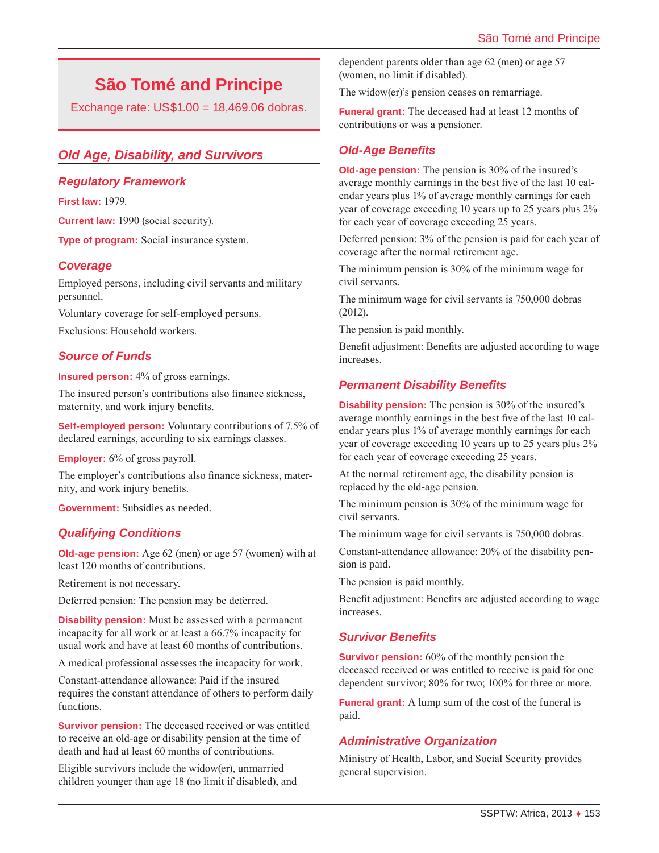# **São Tomé and Principe**

Exchange rate: US\$1.00 = 18,469.06 dobras.

# *Old Age, Disability, and Survivors*

#### *Regulatory Framework*

**First law:** 1979.

**Current law:** 1990 (social security).

**Type of program:** Social insurance system.

#### *Coverage*

Employed persons, including civil servants and military personnel.

Voluntary coverage for self-employed persons.

Exclusions: Household workers.

#### *Source of Funds*

**Insured person:** 4% of gross earnings.

The insured person's contributions also finance sickness, maternity, and work injury benefits.

**Self-employed person:** Voluntary contributions of 7.5% of declared earnings, according to six earnings classes.

**Employer:** 6% of gross payroll.

The employer's contributions also finance sickness, maternity, and work injury benefits.

**Government:** Subsidies as needed.

## *Qualifying Conditions*

**Old-age pension:** Age 62 (men) or age 57 (women) with at least 120 months of contributions.

Retirement is not necessary.

Deferred pension: The pension may be deferred.

**Disability pension:** Must be assessed with a permanent incapacity for all work or at least a 66.7% incapacity for usual work and have at least 60 months of contributions.

A medical professional assesses the incapacity for work.

Constant-attendance allowance: Paid if the insured requires the constant attendance of others to perform daily functions.

**Survivor pension:** The deceased received or was entitled to receive an old-age or disability pension at the time of death and had at least 60 months of contributions.

Eligible survivors include the widow(er), unmarried children younger than age 18 (no limit if disabled), and dependent parents older than age 62 (men) or age 57 (women, no limit if disabled).

The widow(er)'s pension ceases on remarriage.

**Funeral grant:** The deceased had at least 12 months of contributions or was a pensioner.

## *Old-Age Benefits*

**Old-age pension:** The pension is 30% of the insured's average monthly earnings in the best five of the last 10 calendar years plus 1% of average monthly earnings for each year of coverage exceeding 10 years up to 25 years plus 2% for each year of coverage exceeding 25 years.

Deferred pension: 3% of the pension is paid for each year of coverage after the normal retirement age.

The minimum pension is 30% of the minimum wage for civil servants.

The minimum wage for civil servants is 750,000 dobras (2012).

The pension is paid monthly.

Benefit adjustment: Benefits are adjusted according to wage increases.

#### *Permanent Disability Benefits*

**Disability pension:** The pension is 30% of the insured's average monthly earnings in the best five of the last 10 calendar years plus 1% of average monthly earnings for each year of coverage exceeding 10 years up to 25 years plus 2% for each year of coverage exceeding 25 years.

At the normal retirement age, the disability pension is replaced by the old-age pension.

The minimum pension is 30% of the minimum wage for civil servants.

The minimum wage for civil servants is 750,000 dobras.

Constant-attendance allowance: 20% of the disability pension is paid.

The pension is paid monthly.

Benefit adjustment: Benefits are adjusted according to wage increases.

#### *Survivor Benefits*

**Survivor pension:** 60% of the monthly pension the deceased received or was entitled to receive is paid for one dependent survivor; 80% for two; 100% for three or more.

**Funeral grant:** A lump sum of the cost of the funeral is paid.

## *Administrative Organization*

Ministry of Health, Labor, and Social Security provides general supervision.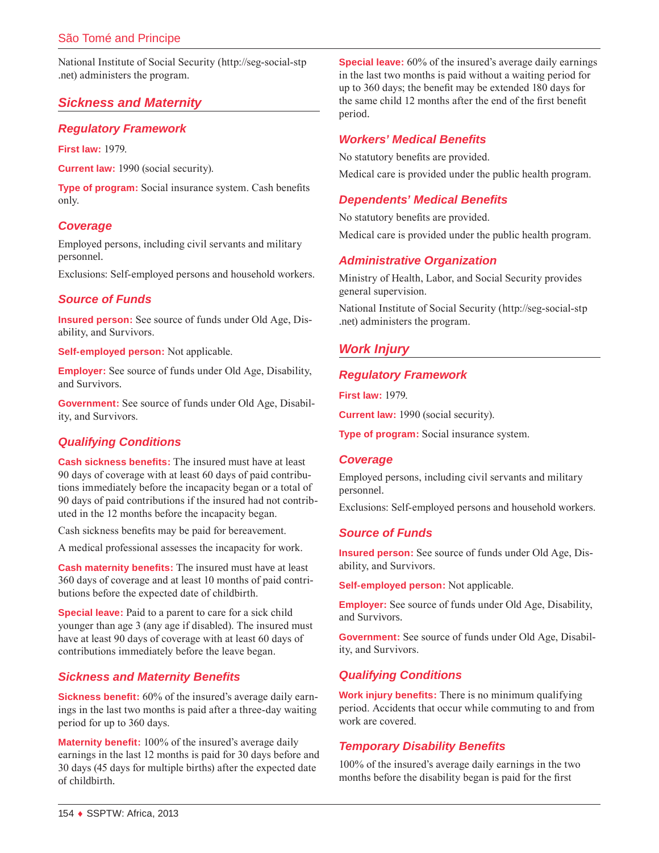National Institute of Social Security ([http://seg-social-stp](http://seg-social-stp.net) [.net](http://seg-social-stp.net)) administers the program.

# *Sickness and Maternity*

## *Regulatory Framework*

**First law:** 1979.

**Current law:** 1990 (social security).

**Type of program:** Social insurance system. Cash benefits only.

# *Coverage*

Employed persons, including civil servants and military personnel.

Exclusions: Self-employed persons and household workers.

# *Source of Funds*

**Insured person:** See source of funds under Old Age, Disability, and Survivors.

**Self-employed person:** Not applicable.

**Employer:** See source of funds under Old Age, Disability, and Survivors.

**Government:** See source of funds under Old Age, Disability, and Survivors.

# *Qualifying Conditions*

**Cash sickness benefits:** The insured must have at least 90 days of coverage with at least 60 days of paid contributions immediately before the incapacity began or a total of 90 days of paid contributions if the insured had not contributed in the 12 months before the incapacity began.

Cash sickness benefits may be paid for bereavement.

A medical professional assesses the incapacity for work.

**Cash maternity benefits:** The insured must have at least 360 days of coverage and at least 10 months of paid contributions before the expected date of childbirth.

**Special leave:** Paid to a parent to care for a sick child younger than age 3 (any age if disabled). The insured must have at least 90 days of coverage with at least 60 days of contributions immediately before the leave began.

# *Sickness and Maternity Benefits*

**Sickness benefit:** 60% of the insured's average daily earnings in the last two months is paid after a three-day waiting period for up to 360 days.

**Maternity benefit:** 100% of the insured's average daily earnings in the last 12 months is paid for 30 days before and 30 days (45 days for multiple births) after the expected date of childbirth.

**Special leave:** 60% of the insured's average daily earnings in the last two months is paid without a waiting period for up to 360 days; the benefit may be extended 180 days for the same child 12 months after the end of the first benefit period.

## *Workers' Medical Benefits*

No statutory benefits are provided. Medical care is provided under the public health program.

# *Dependents' Medical Benefits*

No statutory benefits are provided.

Medical care is provided under the public health program.

# *Administrative Organization*

Ministry of Health, Labor, and Social Security provides general supervision.

National Institute of Social Security ([http://seg-social-stp](http://seg-social-stp.net) [.net](http://seg-social-stp.net)) administers the program.

# *Work Injury*

# *Regulatory Framework*

**First law:** 1979.

**Current law:** 1990 (social security).

**Type of program:** Social insurance system.

## *Coverage*

Employed persons, including civil servants and military personnel.

Exclusions: Self-employed persons and household workers.

## *Source of Funds*

**Insured person:** See source of funds under Old Age, Disability, and Survivors.

**Self-employed person:** Not applicable.

**Employer:** See source of funds under Old Age, Disability, and Survivors.

**Government:** See source of funds under Old Age, Disability, and Survivors.

# *Qualifying Conditions*

**Work injury benefits:** There is no minimum qualifying period. Accidents that occur while commuting to and from work are covered.

# *Temporary Disability Benefits*

100% of the insured's average daily earnings in the two months before the disability began is paid for the first